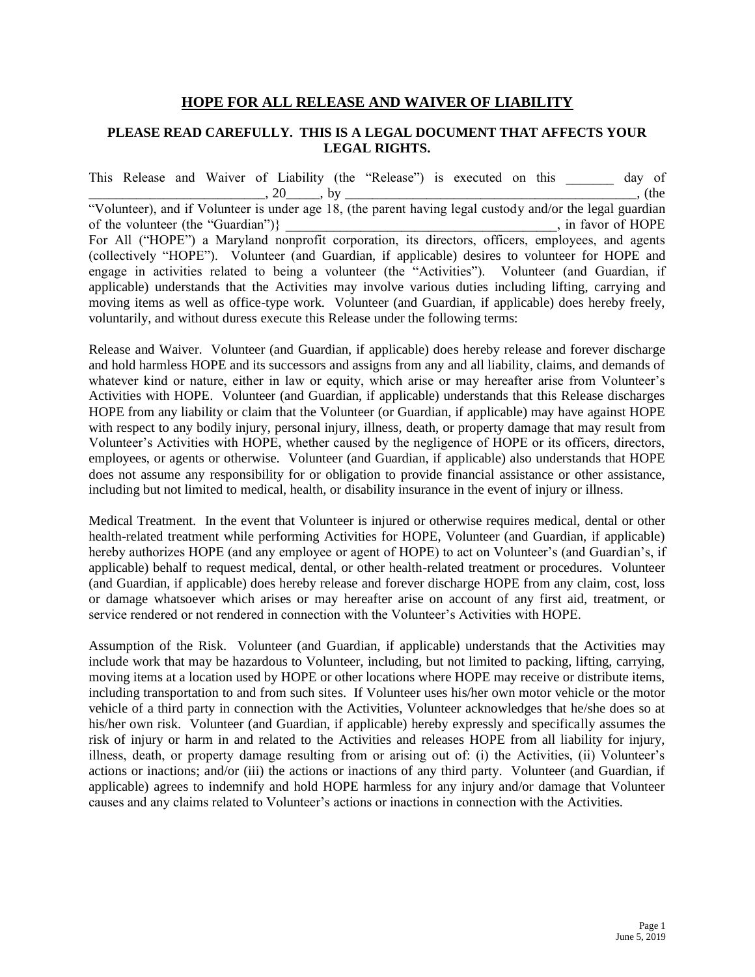## **HOPE FOR ALL RELEASE AND WAIVER OF LIABILITY**

## **PLEASE READ CAREFULLY. THIS IS A LEGAL DOCUMENT THAT AFFECTS YOUR LEGAL RIGHTS.**

This Release and Waiver of Liability (the "Release") is executed on this day of \_\_\_\_\_\_\_\_\_\_\_\_\_\_\_\_\_\_\_\_\_\_\_\_\_\_, 20\_\_\_\_\_, by \_\_\_\_\_\_\_\_\_\_\_\_\_\_\_\_\_\_\_\_\_\_\_\_\_\_\_\_\_\_\_\_\_\_\_\_\_\_\_\_\_\_\_, (the "Volunteer), and if Volunteer is under age 18, (the parent having legal custody and/or the legal guardian of the volunteer (the "Guardian")}  $\qquad \qquad$ , in favor of HOPE For All ("HOPE") a Maryland nonprofit corporation, its directors, officers, employees, and agents (collectively "HOPE"). Volunteer (and Guardian, if applicable) desires to volunteer for HOPE and engage in activities related to being a volunteer (the "Activities"). Volunteer (and Guardian, if applicable) understands that the Activities may involve various duties including lifting, carrying and moving items as well as office-type work. Volunteer (and Guardian, if applicable) does hereby freely, voluntarily, and without duress execute this Release under the following terms:

Release and Waiver. Volunteer (and Guardian, if applicable) does hereby release and forever discharge and hold harmless HOPE and its successors and assigns from any and all liability, claims, and demands of whatever kind or nature, either in law or equity, which arise or may hereafter arise from Volunteer's Activities with HOPE. Volunteer (and Guardian, if applicable) understands that this Release discharges HOPE from any liability or claim that the Volunteer (or Guardian, if applicable) may have against HOPE with respect to any bodily injury, personal injury, illness, death, or property damage that may result from Volunteer's Activities with HOPE, whether caused by the negligence of HOPE or its officers, directors, employees, or agents or otherwise. Volunteer (and Guardian, if applicable) also understands that HOPE does not assume any responsibility for or obligation to provide financial assistance or other assistance, including but not limited to medical, health, or disability insurance in the event of injury or illness.

Medical Treatment. In the event that Volunteer is injured or otherwise requires medical, dental or other health-related treatment while performing Activities for HOPE, Volunteer (and Guardian, if applicable) hereby authorizes HOPE (and any employee or agent of HOPE) to act on Volunteer's (and Guardian's, if applicable) behalf to request medical, dental, or other health-related treatment or procedures. Volunteer (and Guardian, if applicable) does hereby release and forever discharge HOPE from any claim, cost, loss or damage whatsoever which arises or may hereafter arise on account of any first aid, treatment, or service rendered or not rendered in connection with the Volunteer's Activities with HOPE.

Assumption of the Risk. Volunteer (and Guardian, if applicable) understands that the Activities may include work that may be hazardous to Volunteer, including, but not limited to packing, lifting, carrying, moving items at a location used by HOPE or other locations where HOPE may receive or distribute items, including transportation to and from such sites. If Volunteer uses his/her own motor vehicle or the motor vehicle of a third party in connection with the Activities, Volunteer acknowledges that he/she does so at his/her own risk. Volunteer (and Guardian, if applicable) hereby expressly and specifically assumes the risk of injury or harm in and related to the Activities and releases HOPE from all liability for injury, illness, death, or property damage resulting from or arising out of: (i) the Activities, (ii) Volunteer's actions or inactions; and/or (iii) the actions or inactions of any third party. Volunteer (and Guardian, if applicable) agrees to indemnify and hold HOPE harmless for any injury and/or damage that Volunteer causes and any claims related to Volunteer's actions or inactions in connection with the Activities.